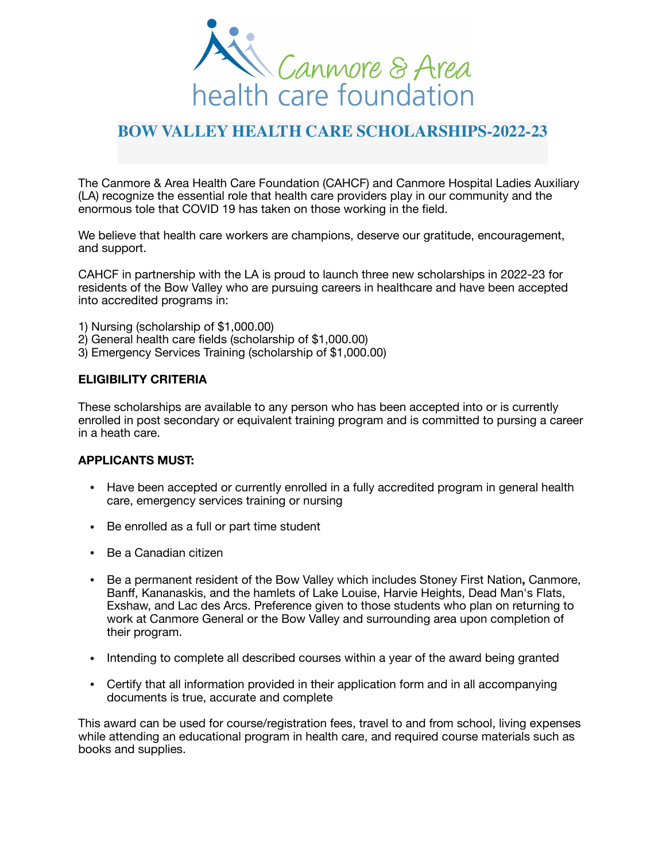

## **BOW VALLEY HEALTH CARE SCHOLARSHIPS-2022-23**

The Canmore & Area Health Care Foundation (CAHCF) and Canmore Hospital Ladies Auxiliary (LA) recognize the essential role that health care providers play in our community and the enormous tole that COVID 19 has taken on those working in the field.

We believe that health care workers are champions, deserve our gratitude, encouragement, and support.

CAHCF in partnership with the LA is proud to launch three new scholarships in 2022-23 for residents of the Bow Valley who are pursuing careers in healthcare and have been accepted into accredited programs in:

- 1) Nursing (scholarship of \$1,000.00)
- 2) General health care fields (scholarship of \$1,000.00)
- 3) Emergency Services Training (scholarship of \$1,000.00)

## **ELIGIBILITY CRITERIA**

These scholarships are available to any person who has been accepted into or is currently enrolled in post secondary or equivalent training program and is committed to pursing a career in a heath care.

## **APPLICANTS MUST:**

- Have been accepted or currently enrolled in a fully accredited program in general health care, emergency services training or nursing
- Be enrolled as a full or part time student
- Be a Canadian citizen
- Be a permanent resident of the Bow Valley which includes Stoney First Nation**,** Canmore, Banff, Kananaskis, and the hamlets of Lake Louise, Harvie Heights, Dead Man's Flats, Exshaw, and Lac des Arcs. Preference given to those students who plan on returning to work at Canmore General or the Bow Valley and surrounding area upon completion of their program.
- Intending to complete all described courses within a year of the award being granted
- Certify that all information provided in their application form and in all accompanying documents is true, accurate and complete

This award can be used for course/registration fees, travel to and from school, living expenses while attending an educational program in health care, and required course materials such as books and supplies.